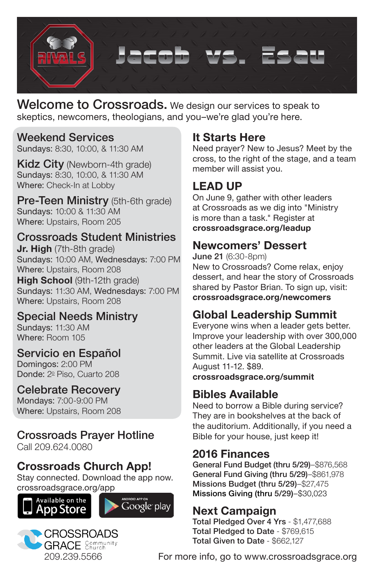

Welcome to Crossroads. We design our services to speak to skeptics, newcomers, theologians, and you–we're glad you're here.

#### Weekend Services

Sundays: 8:30, 10:00, & 11:30 AM

**Kidz City** (Newborn-4th grade) Sundays: 8:30, 10:00, & 11:30 AM Where: Check-In at Lobby

Pre-Teen Ministry (5th-6th grade) Sundays: 10:00 & 11:30 AM Where: Upstairs, Room 205

#### Crossroads Student Ministries

**Jr. High** (7th-8th grade) Sundays: 10:00 AM, Wednesdays: 7:00 PM Where: Upstairs, Room 208

**High School** (9th-12th grade) Sundays: 11:30 AM, Wednesdays: 7:00 PM Where: Upstairs, Room 208

#### Special Needs Ministry

Sundays: 11:30 AM Where: Room 105

#### Servicio en Español

Domingos: 2:00 PM Donde: 2º Piso, Cuarto 208

#### Celebrate Recovery

Mondays: 7:00-9:00 PM Where: Upstairs, Room 208

# Crossroads Prayer Hotline

Call 209.624.0080

#### **Crossroads Church App!**

Stay connected. Download the app now.







#### **It Starts Here**

Need prayer? New to Jesus? Meet by the cross, to the right of the stage, and a team member will assist you.

#### **LEAD UP**

On June 9, gather with other leaders at Crossroads as we dig into "Ministry is more than a task." Register at **crossroadsgrace.org/leadup**

#### **Newcomers' Dessert**

June 21 (6:30-8pm) New to Crossroads? Come relax, enjoy dessert, and hear the story of Crossroads shared by Pastor Brian. To sign up, visit: **crossroadsgrace.org/newcomers**

## **Global Leadership Summit**

Everyone wins when a leader gets better. Improve your leadership with over 300,000 other leaders at the Global Leadership Summit. Live via satellite at Crossroads August 11-12. \$89. **crossroadsgrace.org/summit**

## **Bibles Available**

Need to borrow a Bible during service? They are in bookshelves at the back of the auditorium. Additionally, if you need a Bible for your house, just keep it!

#### **2016 Finances**

General Fund Budget (thru 5/29)–\$876,568 General Fund Giving (thru 5/29)-\$861,978 Missions Budget (thru 5/29)–\$27,475 Missions Giving (thru 5/29)–\$30,023

## **Next Campaign**

Total Pledged Over 4 Yrs - \$1,477,688 Total Pledged to Date - \$769,615 Total Given to Date - \$662,127

For more info, go to www.crossroadsgrace.org